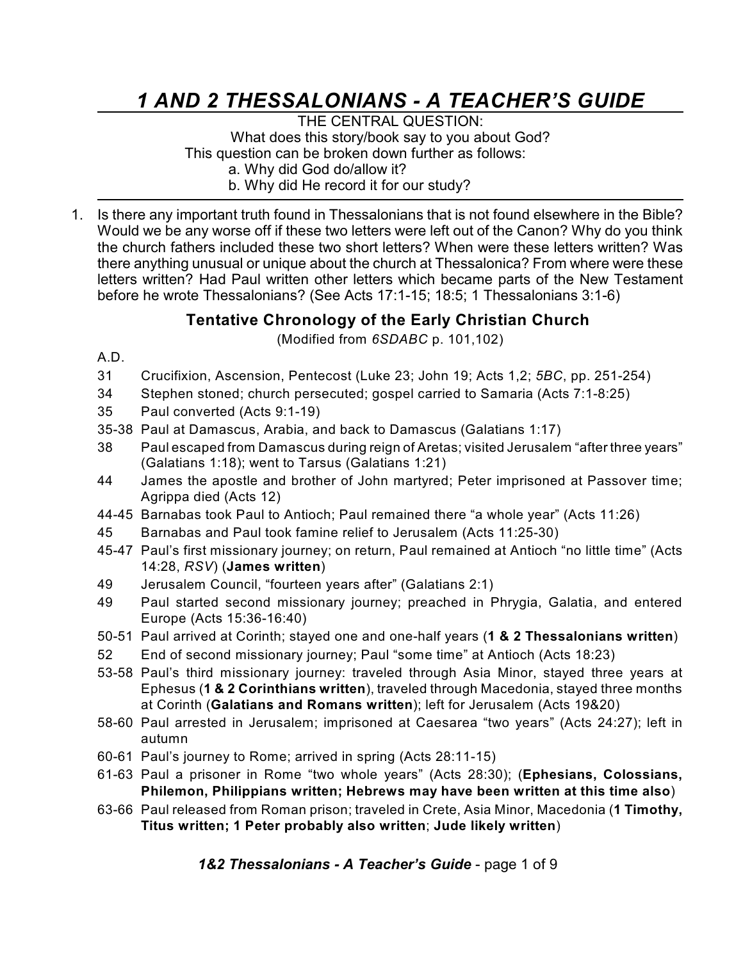# *1 AND 2 THESSALONIANS - A TEACHER'S GUIDE*

THE CENTRAL QUESTION: What does this story/book say to you about God? This question can be broken down further as follows: a. Why did God do/allow it? b. Why did He record it for our study?

1. Is there any important truth found in Thessalonians that is not found elsewhere in the Bible? Would we be any worse off if these two letters were left out of the Canon? Why do you think the church fathers included these two short letters? When were these letters written? Was there anything unusual or unique about the church at Thessalonica? From where were these letters written? Had Paul written other letters which became parts of the New Testament before he wrote Thessalonians? (See Acts 17:1-15; 18:5; 1 Thessalonians 3:1-6)

## **Tentative Chronology of the Early Christian Church**

(Modified from *6SDABC* p. 101,102)

- A.D.
- 31 Crucifixion, Ascension, Pentecost (Luke 23; John 19; Acts 1,2; *5BC*, pp. 251-254)
- 34 Stephen stoned; church persecuted; gospel carried to Samaria (Acts 7:1-8:25)
- 35 Paul converted (Acts 9:1-19)
- 35-38 Paul at Damascus, Arabia, and back to Damascus (Galatians 1:17)
- 38 Paul escaped from Damascus during reign of Aretas; visited Jerusalem "after three years" (Galatians 1:18); went to Tarsus (Galatians 1:21)
- 44 James the apostle and brother of John martyred; Peter imprisoned at Passover time; Agrippa died (Acts 12)
- 44-45 Barnabas took Paul to Antioch; Paul remained there "a whole year" (Acts 11:26)
- 45 Barnabas and Paul took famine relief to Jerusalem (Acts 11:25-30)
- 45-47 Paul's first missionary journey; on return, Paul remained at Antioch "no little time" (Acts 14:28, *RSV*) (**James written**)
- 49 Jerusalem Council, "fourteen years after" (Galatians 2:1)
- 49 Paul started second missionary journey; preached in Phrygia, Galatia, and entered Europe (Acts 15:36-16:40)
- 50-51 Paul arrived at Corinth; stayed one and one-half years (**1 & 2 Thessalonians written**)
- 52 End of second missionary journey; Paul "some time" at Antioch (Acts 18:23)
- 53-58 Paul's third missionary journey: traveled through Asia Minor, stayed three years at Ephesus (**1 & 2 Corinthians written**), traveled through Macedonia, stayed three months at Corinth (**Galatians and Romans written**); left for Jerusalem (Acts 19&20)
- 58-60 Paul arrested in Jerusalem; imprisoned at Caesarea "two years" (Acts 24:27); left in autumn
- 60-61 Paul's journey to Rome; arrived in spring (Acts 28:11-15)
- 61-63 Paul a prisoner in Rome "two whole years" (Acts 28:30); (**Ephesians, Colossians, Philemon, Philippians written; Hebrews may have been written at this time also**)
- 63-66 Paul released from Roman prison; traveled in Crete, Asia Minor, Macedonia (**1 Timothy, Titus written; 1 Peter probably also written**; **Jude likely written**)

*1&2 Thessalonians - A Teacher's Guide* - page 1 of 9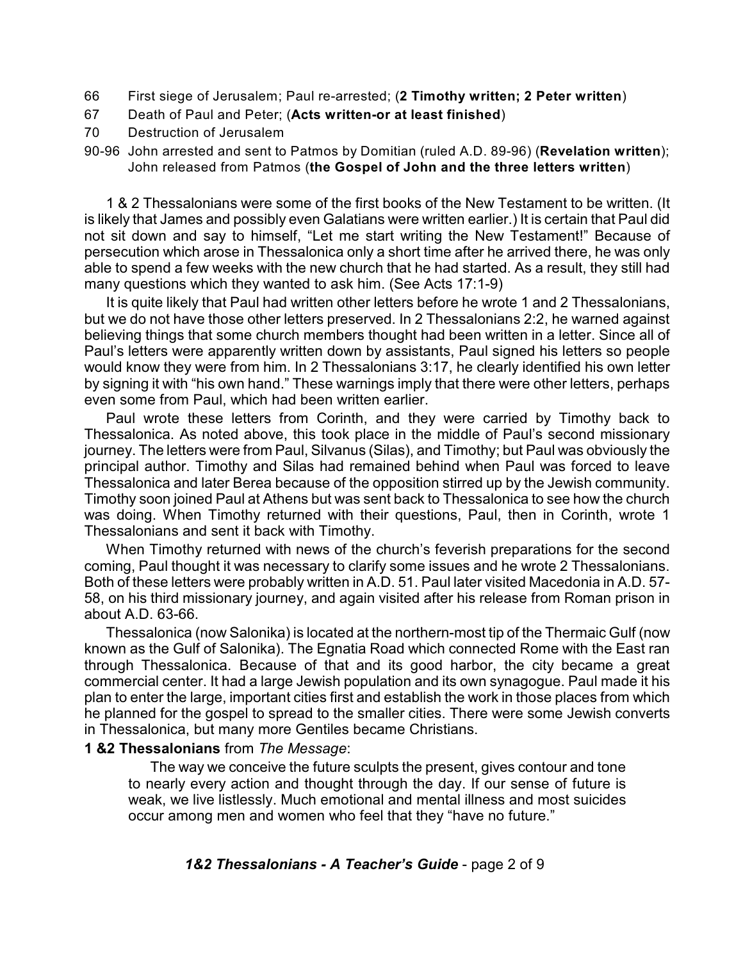- 66 First siege of Jerusalem; Paul re-arrested; (**2 Timothy written; 2 Peter written**)
- 67 Death of Paul and Peter; (**Acts written-or at least finished**)
- 70 Destruction of Jerusalem
- 90-96 John arrested and sent to Patmos by Domitian (ruled A.D. 89-96) (**Revelation written**); John released from Patmos (**the Gospel of John and the three letters written**)

1 & 2 Thessalonians were some of the first books of the New Testament to be written. (It is likely that James and possibly even Galatians were written earlier.) It is certain that Paul did not sit down and say to himself, "Let me start writing the New Testament!" Because of persecution which arose in Thessalonica only a short time after he arrived there, he was only able to spend a few weeks with the new church that he had started. As a result, they still had many questions which they wanted to ask him. (See Acts 17:1-9)

It is quite likely that Paul had written other letters before he wrote 1 and 2 Thessalonians, but we do not have those other letters preserved. In 2 Thessalonians 2:2, he warned against believing things that some church members thought had been written in a letter. Since all of Paul's letters were apparently written down by assistants, Paul signed his letters so people would know they were from him. In 2 Thessalonians 3:17, he clearly identified his own letter by signing it with "his own hand." These warnings imply that there were other letters, perhaps even some from Paul, which had been written earlier.

Paul wrote these letters from Corinth, and they were carried by Timothy back to Thessalonica. As noted above, this took place in the middle of Paul's second missionary journey. The letters were from Paul, Silvanus (Silas), and Timothy; but Paul was obviously the principal author. Timothy and Silas had remained behind when Paul was forced to leave Thessalonica and later Berea because of the opposition stirred up by the Jewish community. Timothy soon joined Paul at Athens but was sent back to Thessalonica to see how the church was doing. When Timothy returned with their questions, Paul, then in Corinth, wrote 1 Thessalonians and sent it back with Timothy.

When Timothy returned with news of the church's feverish preparations for the second coming, Paul thought it was necessary to clarify some issues and he wrote 2 Thessalonians. Both of these letters were probably written in A.D. 51. Paul later visited Macedonia in A.D. 57- 58, on his third missionary journey, and again visited after his release from Roman prison in about A.D. 63-66.

Thessalonica (now Salonika) is located at the northern-most tip of the Thermaic Gulf (now known as the Gulf of Salonika). The Egnatia Road which connected Rome with the East ran through Thessalonica. Because of that and its good harbor, the city became a great commercial center. It had a large Jewish population and its own synagogue. Paul made it his plan to enter the large, important cities first and establish the work in those places from which he planned for the gospel to spread to the smaller cities. There were some Jewish converts in Thessalonica, but many more Gentiles became Christians.

#### **1 &2 Thessalonians** from *The Message*:

The way we conceive the future sculpts the present, gives contour and tone to nearly every action and thought through the day. If our sense of future is weak, we live listlessly. Much emotional and mental illness and most suicides occur among men and women who feel that they "have no future."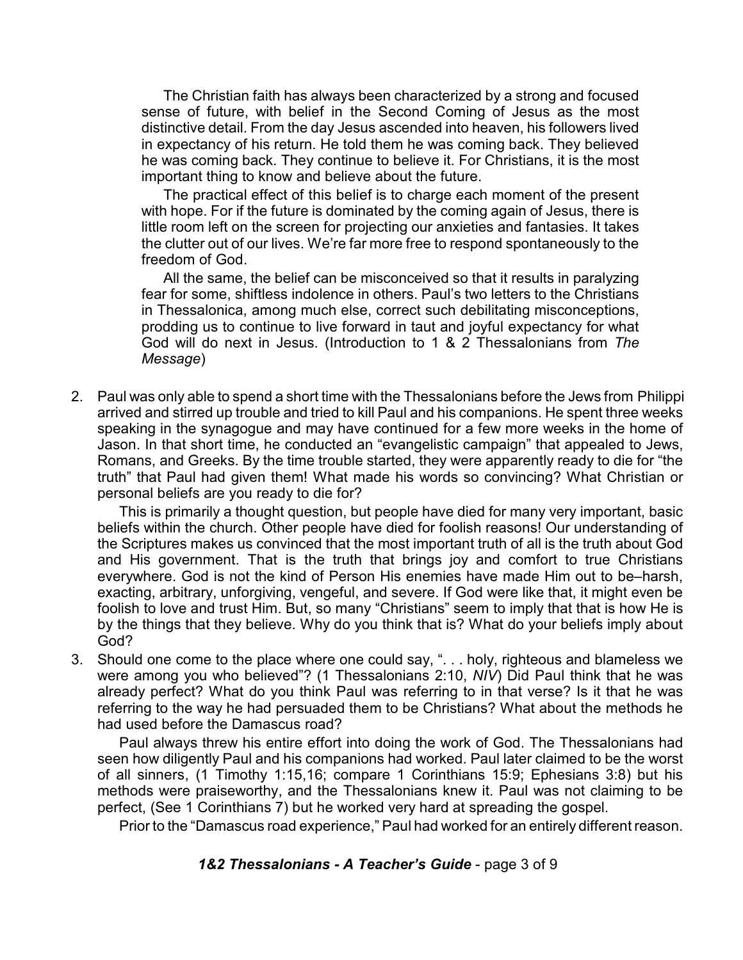The Christian faith has always been characterized by a strong and focused sense of future, with belief in the Second Coming of Jesus as the most distinctive detail. From the day Jesus ascended into heaven, his followers lived in expectancy of his return. He told them he was coming back. They believed he was coming back. They continue to believe it. For Christians, it is the most important thing to know and believe about the future.

The practical effect of this belief is to charge each moment of the present with hope. For if the future is dominated by the coming again of Jesus, there is little room left on the screen for projecting our anxieties and fantasies. It takes the clutter out of our lives. We're far more free to respond spontaneously to the freedom of God.

All the same, the belief can be misconceived so that it results in paralyzing fear for some, shiftless indolence in others. Paul's two letters to the Christians in Thessalonica, among much else, correct such debilitating misconceptions, prodding us to continue to live forward in taut and joyful expectancy for what God will do next in Jesus. (Introduction to 1 & 2 Thessalonians from *The Message*)

2. Paul was only able to spend a short time with the Thessalonians before the Jews from Philippi arrived and stirred up trouble and tried to kill Paul and his companions. He spent three weeks speaking in the synagogue and may have continued for a few more weeks in the home of Jason. In that short time, he conducted an "evangelistic campaign" that appealed to Jews, Romans, and Greeks. By the time trouble started, they were apparently ready to die for "the truth" that Paul had given them! What made his words so convincing? What Christian or personal beliefs are you ready to die for?

This is primarily a thought question, but people have died for many very important, basic beliefs within the church. Other people have died for foolish reasons! Our understanding of the Scriptures makes us convinced that the most important truth of all is the truth about God and His government. That is the truth that brings joy and comfort to true Christians everywhere. God is not the kind of Person His enemies have made Him out to be–harsh, exacting, arbitrary, unforgiving, vengeful, and severe. If God were like that, it might even be foolish to love and trust Him. But, so many "Christians" seem to imply that that is how He is by the things that they believe. Why do you think that is? What do your beliefs imply about God?

3. Should one come to the place where one could say, ". . . holy, righteous and blameless we were among you who believed"? (1 Thessalonians 2:10, *NIV*) Did Paul think that he was already perfect? What do you think Paul was referring to in that verse? Is it that he was referring to the way he had persuaded them to be Christians? What about the methods he had used before the Damascus road?

Paul always threw his entire effort into doing the work of God. The Thessalonians had seen how diligently Paul and his companions had worked. Paul later claimed to be the worst of all sinners, (1 Timothy 1:15,16; compare 1 Corinthians 15:9; Ephesians 3:8) but his methods were praiseworthy, and the Thessalonians knew it. Paul was not claiming to be perfect, (See 1 Corinthians 7) but he worked very hard at spreading the gospel.

Prior to the "Damascus road experience," Paul had worked for an entirely different reason.

### *1&2 Thessalonians - A Teacher's Guide* - page 3 of 9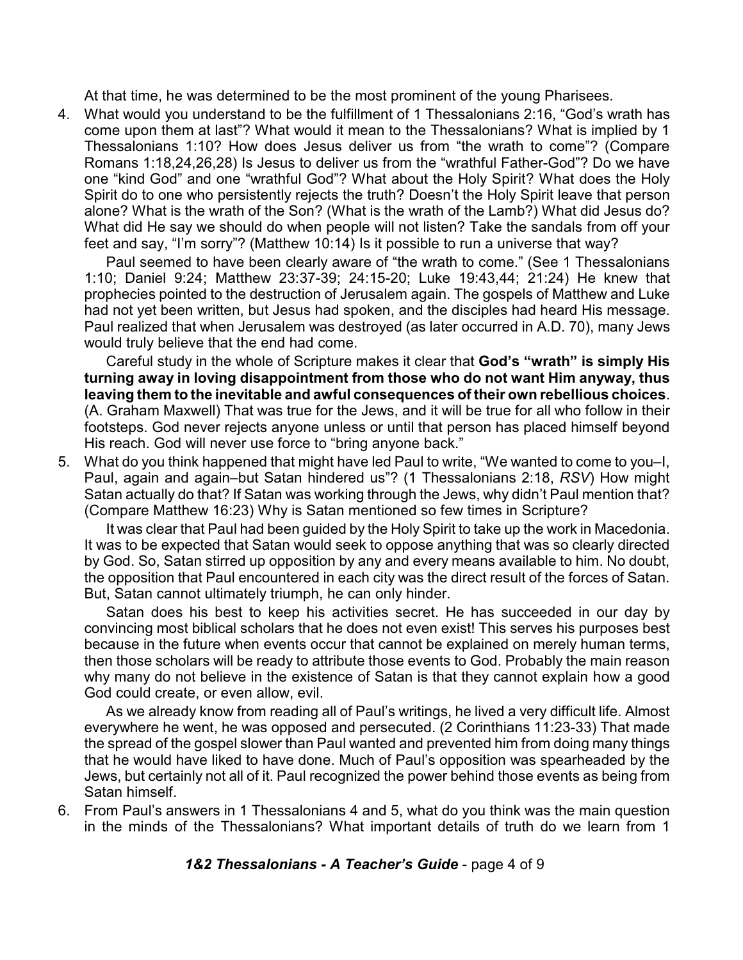At that time, he was determined to be the most prominent of the young Pharisees.

4. What would you understand to be the fulfillment of 1 Thessalonians 2:16, "God's wrath has come upon them at last"? What would it mean to the Thessalonians? What is implied by 1 Thessalonians 1:10? How does Jesus deliver us from "the wrath to come"? (Compare Romans 1:18,24,26,28) Is Jesus to deliver us from the "wrathful Father-God"? Do we have one "kind God" and one "wrathful God"? What about the Holy Spirit? What does the Holy Spirit do to one who persistently rejects the truth? Doesn't the Holy Spirit leave that person alone? What is the wrath of the Son? (What is the wrath of the Lamb?) What did Jesus do? What did He say we should do when people will not listen? Take the sandals from off your feet and say, "I'm sorry"? (Matthew 10:14) Is it possible to run a universe that way?

Paul seemed to have been clearly aware of "the wrath to come." (See 1 Thessalonians 1:10; Daniel 9:24; Matthew 23:37-39; 24:15-20; Luke 19:43,44; 21:24) He knew that prophecies pointed to the destruction of Jerusalem again. The gospels of Matthew and Luke had not yet been written, but Jesus had spoken, and the disciples had heard His message. Paul realized that when Jerusalem was destroyed (as later occurred in A.D. 70), many Jews would truly believe that the end had come.

Careful study in the whole of Scripture makes it clear that **God's "wrath" is simply His turning away in loving disappointment from those who do not want Him anyway, thus leaving them to the inevitable and awful consequences of their own rebellious choices**. (A. Graham Maxwell) That was true for the Jews, and it will be true for all who follow in their footsteps. God never rejects anyone unless or until that person has placed himself beyond His reach. God will never use force to "bring anyone back."

5. What do you think happened that might have led Paul to write, "We wanted to come to you–I, Paul, again and again–but Satan hindered us"? (1 Thessalonians 2:18, *RSV*) How might Satan actually do that? If Satan was working through the Jews, why didn't Paul mention that? (Compare Matthew 16:23) Why is Satan mentioned so few times in Scripture?

It was clear that Paul had been guided by the Holy Spirit to take up the work in Macedonia. It was to be expected that Satan would seek to oppose anything that was so clearly directed by God. So, Satan stirred up opposition by any and every means available to him. No doubt, the opposition that Paul encountered in each city was the direct result of the forces of Satan. But, Satan cannot ultimately triumph, he can only hinder.

Satan does his best to keep his activities secret. He has succeeded in our day by convincing most biblical scholars that he does not even exist! This serves his purposes best because in the future when events occur that cannot be explained on merely human terms, then those scholars will be ready to attribute those events to God. Probably the main reason why many do not believe in the existence of Satan is that they cannot explain how a good God could create, or even allow, evil.

As we already know from reading all of Paul's writings, he lived a very difficult life. Almost everywhere he went, he was opposed and persecuted. (2 Corinthians 11:23-33) That made the spread of the gospel slower than Paul wanted and prevented him from doing many things that he would have liked to have done. Much of Paul's opposition was spearheaded by the Jews, but certainly not all of it. Paul recognized the power behind those events as being from Satan himself.

6. From Paul's answers in 1 Thessalonians 4 and 5, what do you think was the main question in the minds of the Thessalonians? What important details of truth do we learn from 1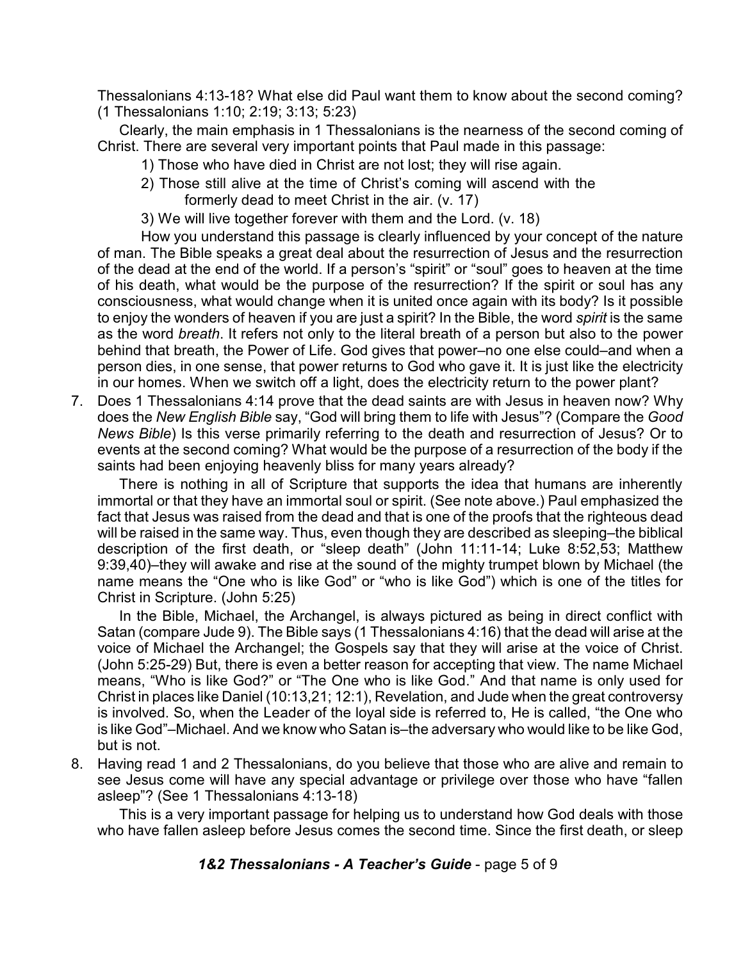Thessalonians 4:13-18? What else did Paul want them to know about the second coming? (1 Thessalonians 1:10; 2:19; 3:13; 5:23)

Clearly, the main emphasis in 1 Thessalonians is the nearness of the second coming of Christ. There are several very important points that Paul made in this passage:

- 1) Those who have died in Christ are not lost; they will rise again.
- 2) Those still alive at the time of Christ's coming will ascend with the formerly dead to meet Christ in the air. (v. 17)
- 3) We will live together forever with them and the Lord. (v. 18)

How you understand this passage is clearly influenced by your concept of the nature of man. The Bible speaks a great deal about the resurrection of Jesus and the resurrection of the dead at the end of the world. If a person's "spirit" or "soul" goes to heaven at the time of his death, what would be the purpose of the resurrection? If the spirit or soul has any consciousness, what would change when it is united once again with its body? Is it possible to enjoy the wonders of heaven if you are just a spirit? In the Bible, the word *spirit* is the same as the word *breath*. It refers not only to the literal breath of a person but also to the power behind that breath, the Power of Life. God gives that power–no one else could–and when a person dies, in one sense, that power returns to God who gave it. It is just like the electricity in our homes. When we switch off a light, does the electricity return to the power plant?

7. Does 1 Thessalonians 4:14 prove that the dead saints are with Jesus in heaven now? Why does the *New English Bible* say, "God will bring them to life with Jesus"? (Compare the *Good News Bible*) Is this verse primarily referring to the death and resurrection of Jesus? Or to events at the second coming? What would be the purpose of a resurrection of the body if the saints had been enjoying heavenly bliss for many years already?

There is nothing in all of Scripture that supports the idea that humans are inherently immortal or that they have an immortal soul or spirit. (See note above.) Paul emphasized the fact that Jesus was raised from the dead and that is one of the proofs that the righteous dead will be raised in the same way. Thus, even though they are described as sleeping–the biblical description of the first death, or "sleep death" (John 11:11-14; Luke 8:52,53; Matthew 9:39,40)–they will awake and rise at the sound of the mighty trumpet blown by Michael (the name means the "One who is like God" or "who is like God") which is one of the titles for Christ in Scripture. (John 5:25)

In the Bible, Michael, the Archangel, is always pictured as being in direct conflict with Satan (compare Jude 9). The Bible says (1 Thessalonians 4:16) that the dead will arise at the voice of Michael the Archangel; the Gospels say that they will arise at the voice of Christ. (John 5:25-29) But, there is even a better reason for accepting that view. The name Michael means, "Who is like God?" or "The One who is like God." And that name is only used for Christ in places like Daniel (10:13,21; 12:1), Revelation, and Jude when the great controversy is involved. So, when the Leader of the loyal side is referred to, He is called, "the One who is like God"–Michael. And we know who Satan is–the adversary who would like to be like God, but is not.

8. Having read 1 and 2 Thessalonians, do you believe that those who are alive and remain to see Jesus come will have any special advantage or privilege over those who have "fallen asleep"? (See 1 Thessalonians 4:13-18)

This is a very important passage for helping us to understand how God deals with those who have fallen asleep before Jesus comes the second time. Since the first death, or sleep

#### *1&2 Thessalonians - A Teacher's Guide* - page 5 of 9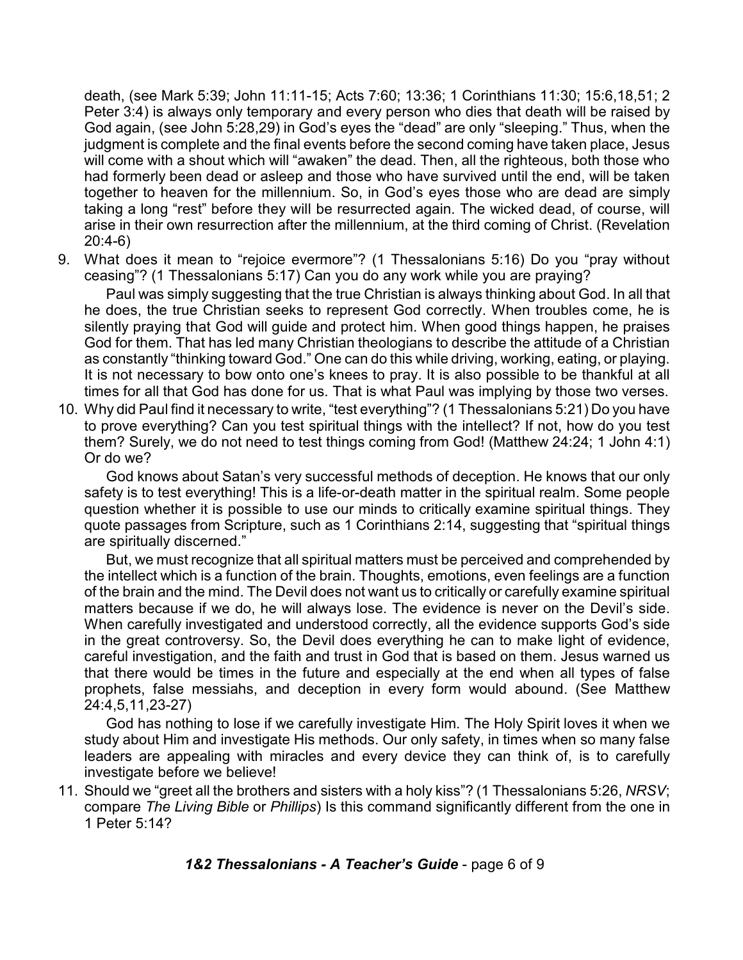death, (see Mark 5:39; John 11:11-15; Acts 7:60; 13:36; 1 Corinthians 11:30; 15:6,18,51; 2 Peter 3:4) is always only temporary and every person who dies that death will be raised by God again, (see John 5:28,29) in God's eyes the "dead" are only "sleeping." Thus, when the judgment is complete and the final events before the second coming have taken place, Jesus will come with a shout which will "awaken" the dead. Then, all the righteous, both those who had formerly been dead or asleep and those who have survived until the end, will be taken together to heaven for the millennium. So, in God's eyes those who are dead are simply taking a long "rest" before they will be resurrected again. The wicked dead, of course, will arise in their own resurrection after the millennium, at the third coming of Christ. (Revelation 20:4-6)

9. What does it mean to "rejoice evermore"? (1 Thessalonians 5:16) Do you "pray without ceasing"? (1 Thessalonians 5:17) Can you do any work while you are praying?

Paul was simply suggesting that the true Christian is always thinking about God. In all that he does, the true Christian seeks to represent God correctly. When troubles come, he is silently praying that God will guide and protect him. When good things happen, he praises God for them. That has led many Christian theologians to describe the attitude of a Christian as constantly "thinking toward God." One can do this while driving, working, eating, or playing. It is not necessary to bow onto one's knees to pray. It is also possible to be thankful at all times for all that God has done for us. That is what Paul was implying by those two verses.

10. Why did Paul find it necessary to write, "test everything"? (1 Thessalonians 5:21) Do you have to prove everything? Can you test spiritual things with the intellect? If not, how do you test them? Surely, we do not need to test things coming from God! (Matthew 24:24; 1 John 4:1) Or do we?

God knows about Satan's very successful methods of deception. He knows that our only safety is to test everything! This is a life-or-death matter in the spiritual realm. Some people question whether it is possible to use our minds to critically examine spiritual things. They quote passages from Scripture, such as 1 Corinthians 2:14, suggesting that "spiritual things are spiritually discerned."

But, we must recognize that all spiritual matters must be perceived and comprehended by the intellect which is a function of the brain. Thoughts, emotions, even feelings are a function of the brain and the mind. The Devil does not want us to critically or carefully examine spiritual matters because if we do, he will always lose. The evidence is never on the Devil's side. When carefully investigated and understood correctly, all the evidence supports God's side in the great controversy. So, the Devil does everything he can to make light of evidence, careful investigation, and the faith and trust in God that is based on them. Jesus warned us that there would be times in the future and especially at the end when all types of false prophets, false messiahs, and deception in every form would abound. (See Matthew 24:4,5,11,23-27)

God has nothing to lose if we carefully investigate Him. The Holy Spirit loves it when we study about Him and investigate His methods. Our only safety, in times when so many false leaders are appealing with miracles and every device they can think of, is to carefully investigate before we believe!

11. Should we "greet all the brothers and sisters with a holy kiss"? (1 Thessalonians 5:26, *NRSV*; compare *The Living Bible* or *Phillips*) Is this command significantly different from the one in 1 Peter 5:14?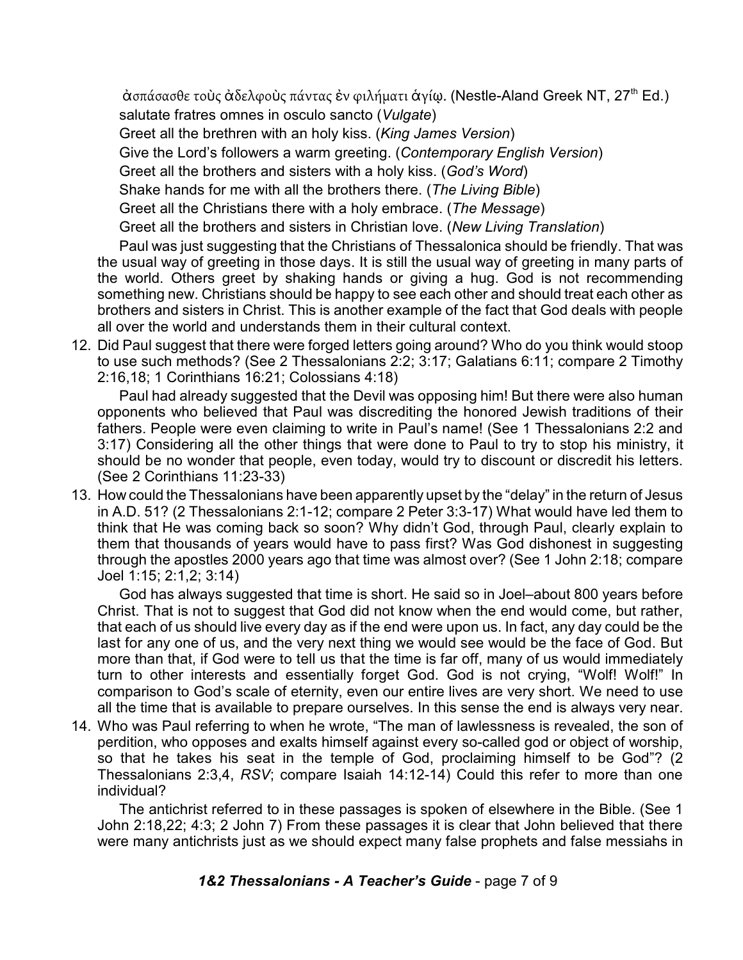άσπάσασθε τοὺς ἀδελφοὺς πάντας ἐν φιλήματι ἁγίῳ. (Nestle-Aland Greek NT, 27<sup>th</sup> Ed.) salutate fratres omnes in osculo sancto (*Vulgate*)

Greet all the brethren with an holy kiss. (*King James Version*)

Give the Lord's followers a warm greeting. (*Contemporary English Version*)

Greet all the brothers and sisters with a holy kiss. (*God's Word*)

Shake hands for me with all the brothers there. (*The Living Bible*)

Greet all the Christians there with a holy embrace. (*The Message*)

Greet all the brothers and sisters in Christian love. (*New Living Translation*)

Paul was just suggesting that the Christians of Thessalonica should be friendly. That was the usual way of greeting in those days. It is still the usual way of greeting in many parts of the world. Others greet by shaking hands or giving a hug. God is not recommending something new. Christians should be happy to see each other and should treat each other as brothers and sisters in Christ. This is another example of the fact that God deals with people all over the world and understands them in their cultural context.

12. Did Paul suggest that there were forged letters going around? Who do you think would stoop to use such methods? (See 2 Thessalonians 2:2; 3:17; Galatians 6:11; compare 2 Timothy 2:16,18; 1 Corinthians 16:21; Colossians 4:18)

Paul had already suggested that the Devil was opposing him! But there were also human opponents who believed that Paul was discrediting the honored Jewish traditions of their fathers. People were even claiming to write in Paul's name! (See 1 Thessalonians 2:2 and 3:17) Considering all the other things that were done to Paul to try to stop his ministry, it should be no wonder that people, even today, would try to discount or discredit his letters. (See 2 Corinthians 11:23-33)

13. How could the Thessalonians have been apparently upset by the "delay" in the return of Jesus in A.D. 51? (2 Thessalonians 2:1-12; compare 2 Peter 3:3-17) What would have led them to think that He was coming back so soon? Why didn't God, through Paul, clearly explain to them that thousands of years would have to pass first? Was God dishonest in suggesting through the apostles 2000 years ago that time was almost over? (See 1 John 2:18; compare Joel 1:15; 2:1,2; 3:14)

God has always suggested that time is short. He said so in Joel–about 800 years before Christ. That is not to suggest that God did not know when the end would come, but rather, that each of us should live every day as if the end were upon us. In fact, any day could be the last for any one of us, and the very next thing we would see would be the face of God. But more than that, if God were to tell us that the time is far off, many of us would immediately turn to other interests and essentially forget God. God is not crying, "Wolf! Wolf!" In comparison to God's scale of eternity, even our entire lives are very short. We need to use all the time that is available to prepare ourselves. In this sense the end is always very near.

14. Who was Paul referring to when he wrote, "The man of lawlessness is revealed, the son of perdition, who opposes and exalts himself against every so-called god or object of worship, so that he takes his seat in the temple of God, proclaiming himself to be God"? (2 Thessalonians 2:3,4, *RSV*; compare Isaiah 14:12-14) Could this refer to more than one individual?

The antichrist referred to in these passages is spoken of elsewhere in the Bible. (See 1 John 2:18,22; 4:3; 2 John 7) From these passages it is clear that John believed that there were many antichrists just as we should expect many false prophets and false messiahs in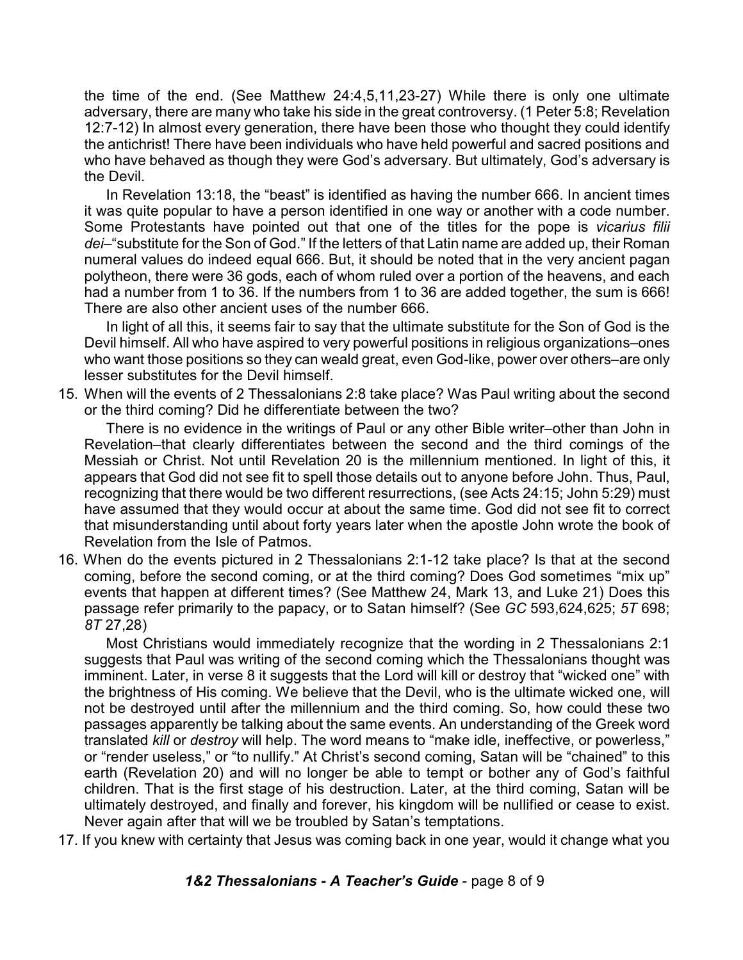the time of the end. (See Matthew 24:4,5,11,23-27) While there is only one ultimate adversary, there are many who take his side in the great controversy. (1 Peter 5:8; Revelation 12:7-12) In almost every generation, there have been those who thought they could identify the antichrist! There have been individuals who have held powerful and sacred positions and who have behaved as though they were God's adversary. But ultimately, God's adversary is the Devil.

In Revelation 13:18, the "beast" is identified as having the number 666. In ancient times it was quite popular to have a person identified in one way or another with a code number. Some Protestants have pointed out that one of the titles for the pope is *vicarius filii dei*–"substitute for the Son of God." If the letters of that Latin name are added up, their Roman numeral values do indeed equal 666. But, it should be noted that in the very ancient pagan polytheon, there were 36 gods, each of whom ruled over a portion of the heavens, and each had a number from 1 to 36. If the numbers from 1 to 36 are added together, the sum is 666! There are also other ancient uses of the number 666.

In light of all this, it seems fair to say that the ultimate substitute for the Son of God is the Devil himself. All who have aspired to very powerful positions in religious organizations–ones who want those positions so they can weald great, even God-like, power over others–are only lesser substitutes for the Devil himself.

15. When will the events of 2 Thessalonians 2:8 take place? Was Paul writing about the second or the third coming? Did he differentiate between the two?

There is no evidence in the writings of Paul or any other Bible writer–other than John in Revelation–that clearly differentiates between the second and the third comings of the Messiah or Christ. Not until Revelation 20 is the millennium mentioned. In light of this, it appears that God did not see fit to spell those details out to anyone before John. Thus, Paul, recognizing that there would be two different resurrections, (see Acts 24:15; John 5:29) must have assumed that they would occur at about the same time. God did not see fit to correct that misunderstanding until about forty years later when the apostle John wrote the book of Revelation from the Isle of Patmos.

16. When do the events pictured in 2 Thessalonians 2:1-12 take place? Is that at the second coming, before the second coming, or at the third coming? Does God sometimes "mix up" events that happen at different times? (See Matthew 24, Mark 13, and Luke 21) Does this passage refer primarily to the papacy, or to Satan himself? (See *GC* 593,624,625; *5T* 698; *8T* 27,28)

Most Christians would immediately recognize that the wording in 2 Thessalonians 2:1 suggests that Paul was writing of the second coming which the Thessalonians thought was imminent. Later, in verse 8 it suggests that the Lord will kill or destroy that "wicked one" with the brightness of His coming. We believe that the Devil, who is the ultimate wicked one, will not be destroyed until after the millennium and the third coming. So, how could these two passages apparently be talking about the same events. An understanding of the Greek word translated *kill* or *destroy* will help. The word means to "make idle, ineffective, or powerless," or "render useless," or "to nullify." At Christ's second coming, Satan will be "chained" to this earth (Revelation 20) and will no longer be able to tempt or bother any of God's faithful children. That is the first stage of his destruction. Later, at the third coming, Satan will be ultimately destroyed, and finally and forever, his kingdom will be nullified or cease to exist. Never again after that will we be troubled by Satan's temptations.

17. If you knew with certainty that Jesus was coming back in one year, would it change what you